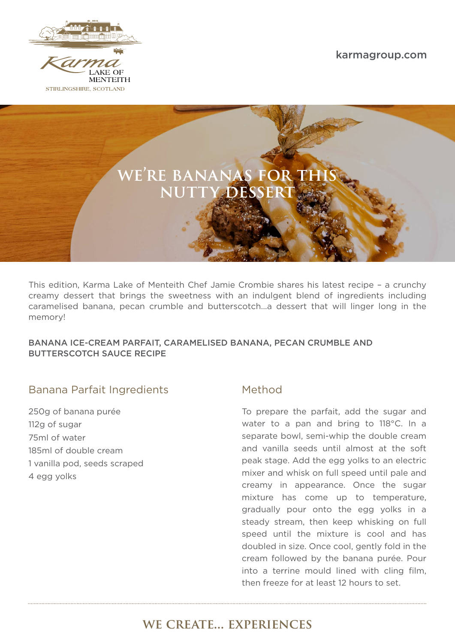

irma **LAKE OF MENTEITH** STIRLINGSHIRE, SCOTLAND

karmagroup.com



This edition, Karma Lake of Menteith Chef Jamie Crombie shares his latest recipe – a crunchy creamy dessert that brings the sweetness with an indulgent blend of ingredients including caramelised banana, pecan crumble and butterscotch…a dessert that will linger long in the memory!

#### BANANA ICE-CREAM PARFAIT, CARAMELISED BANANA, PECAN CRUMBLE AND BUTTERSCOTCH SAUCE RECIPE

#### Banana Parfait Ingredients Method

250g of banana purée 112g of sugar 75ml of water 185ml of double cream 1 vanilla pod, seeds scraped 4 egg yolks

To prepare the parfait, add the sugar and water to a pan and bring to 118°C. In a separate bowl, semi-whip the double cream and vanilla seeds until almost at the soft peak stage. Add the egg yolks to an electric mixer and whisk on full speed until pale and creamy in appearance. Once the sugar mixture has come up to temperature, gradually pour onto the egg yolks in a steady stream, then keep whisking on full speed until the mixture is cool and has doubled in size. Once cool, gently fold in the cream followed by the banana purée. Pour into a terrine mould lined with cling film, then freeze for at least 12 hours to set.

# we create… experiences